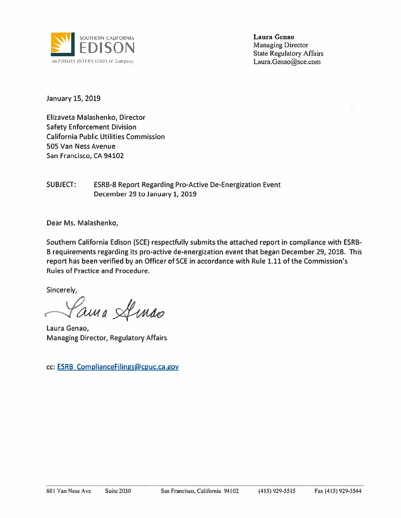

**Laura Genao Managing Director State Regulatory Affairs** Laura.Genao@sce.com

January 15, 2019

Elizaveta Malashenko, Director **Safety Enforcement Division California Public Utilities Commission** 505 Van Ness Avenue San Francisco, CA 94102

**SUBJECT: ESRB-8 Report Regarding Pro-Active De-Energization Event** December 29 to January 1, 2019

Dear Ms. Malashenko,

Southern California Edison (SCE) respectfully submits the attached report in compliance with ESRB-8 requirements regarding its pro-active de-energization event that began December 29, 2018. This report has been verified by an Officer of SCE in accordance with Rule 1.11 of the Commission's **Rules of Practice and Procedure.** 

Sincerely.

ama Amas

Laura Genao, **Managing Director, Regulatory Affairs** 

cc: ESRB ComplianceFilings@cpuc.ca.gov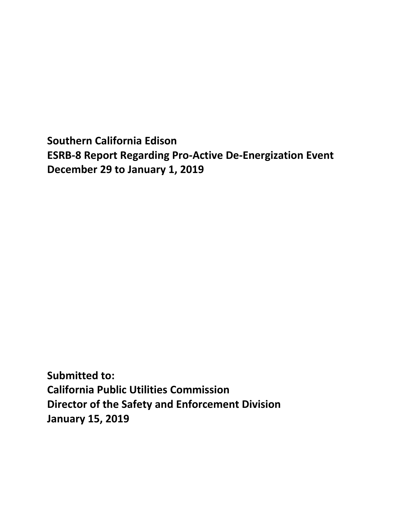**Southern California Edison ESRB-8 Report Regarding Pro-Active De-Energization Event December 29 to January 1, 2019**

**Submitted to: California Public Utilities Commission Director of the Safety and Enforcement Division January 15, 2019**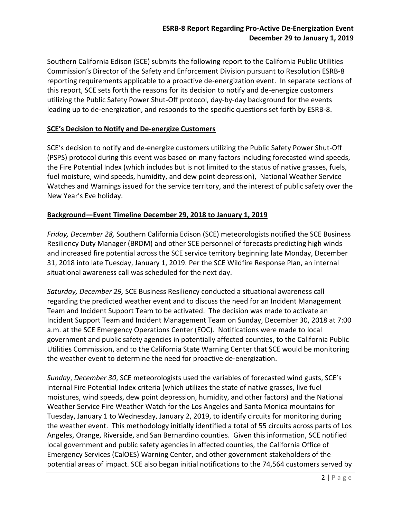Southern California Edison (SCE) submits the following report to the California Public Utilities Commission's Director of the Safety and Enforcement Division pursuant to Resolution ESRB-8 reporting requirements applicable to a proactive de-energization event. In separate sections of this report, SCE sets forth the reasons for its decision to notify and de-energize customers utilizing the Public Safety Power Shut-Off protocol, day-by-day background for the events leading up to de-energization, and responds to the specific questions set forth by ESRB-8.

### **SCE's Decision to Notify and De-energize Customers**

SCE's decision to notify and de-energize customers utilizing the Public Safety Power Shut-Off (PSPS) protocol during this event was based on many factors including forecasted wind speeds, the Fire Potential Index (which includes but is not limited to the status of native grasses, fuels, fuel moisture, wind speeds, humidity, and dew point depression), National Weather Service Watches and Warnings issued for the service territory, and the interest of public safety over the New Year's Eve holiday.

#### **Background—Event Timeline December 29, 2018 to January 1, 2019**

*Friday, December 28,* Southern California Edison (SCE) meteorologists notified the SCE Business Resiliency Duty Manager (BRDM) and other SCE personnel of forecasts predicting high winds and increased fire potential across the SCE service territory beginning late Monday, December 31, 2018 into late Tuesday, January 1, 2019. Per the SCE Wildfire Response Plan, an internal situational awareness call was scheduled for the next day.

*Saturday, December 29,* SCE Business Resiliency conducted a situational awareness call regarding the predicted weather event and to discuss the need for an Incident Management Team and Incident Support Team to be activated. The decision was made to activate an Incident Support Team and Incident Management Team on Sunday, December 30, 2018 at 7:00 a.m. at the SCE Emergency Operations Center (EOC). Notifications were made to local government and public safety agencies in potentially affected counties, to the California Public Utilities Commission, and to the California State Warning Center that SCE would be monitoring the weather event to determine the need for proactive de-energization.

*Sunday*, *December 30*, SCE meteorologists used the variables of forecasted wind gusts, SCE's internal Fire Potential Index criteria (which utilizes the state of native grasses, live fuel moistures, wind speeds, dew point depression, humidity, and other factors) and the National Weather Service Fire Weather Watch for the Los Angeles and Santa Monica mountains for Tuesday, January 1 to Wednesday, January 2, 2019, to identify circuits for monitoring during the weather event. This methodology initially identified a total of 55 circuits across parts of Los Angeles, Orange, Riverside, and San Bernardino counties. Given this information, SCE notified local government and public safety agencies in affected counties, the California Office of Emergency Services (CalOES) Warning Center, and other government stakeholders of the potential areas of impact. SCE also began initial notifications to the 74,564 customers served by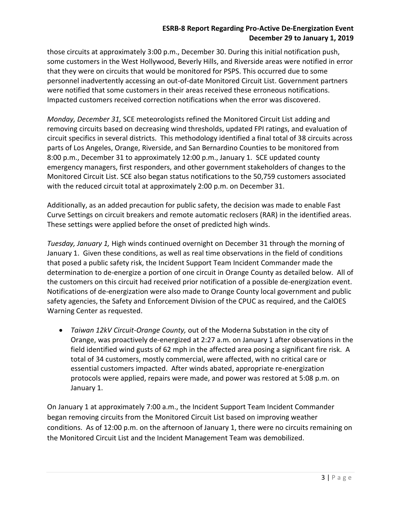## **ESRB-8 Report Regarding Pro-Active De-Energization Event December 29 to January 1, 2019**

those circuits at approximately 3:00 p.m., December 30. During this initial notification push, some customers in the West Hollywood, Beverly Hills, and Riverside areas were notified in error that they were on circuits that would be monitored for PSPS. This occurred due to some personnel inadvertently accessing an out-of-date Monitored Circuit List. Government partners were notified that some customers in their areas received these erroneous notifications. Impacted customers received correction notifications when the error was discovered.

*Monday, December 31,* SCE meteorologists refined the Monitored Circuit List adding and removing circuits based on decreasing wind thresholds, updated FPI ratings, and evaluation of circuit specifics in several districts. This methodology identified a final total of 38 circuits across parts of Los Angeles, Orange, Riverside, and San Bernardino Counties to be monitored from 8:00 p.m., December 31 to approximately 12:00 p.m., January 1. SCE updated county emergency managers, first responders, and other government stakeholders of changes to the Monitored Circuit List. SCE also began status notifications to the 50,759 customers associated with the reduced circuit total at approximately 2:00 p.m. on December 31.

Additionally, as an added precaution for public safety, the decision was made to enable Fast Curve Settings on circuit breakers and remote automatic reclosers (RAR) in the identified areas. These settings were applied before the onset of predicted high winds.

*Tuesday, January 1,* High winds continued overnight on December 31 through the morning of January 1. Given these conditions, as well as real time observations in the field of conditions that posed a public safety risk, the Incident Support Team Incident Commander made the determination to de-energize a portion of one circuit in Orange County as detailed below. All of the customers on this circuit had received prior notification of a possible de-energization event. Notifications of de-energization were also made to Orange County local government and public safety agencies, the Safety and Enforcement Division of the CPUC as required, and the CalOES Warning Center as requested.

 *Taiwan 12kV Circuit-Orange County,* out of the Moderna Substation in the city of Orange, was proactively de-energized at 2:27 a.m. on January 1 after observations in the field identified wind gusts of 62 mph in the affected area posing a significant fire risk. A total of 34 customers, mostly commercial, were affected, with no critical care or essential customers impacted. After winds abated, appropriate re-energization protocols were applied, repairs were made, and power was restored at 5:08 p.m. on January 1.

On January 1 at approximately 7:00 a.m., the Incident Support Team Incident Commander began removing circuits from the Monitored Circuit List based on improving weather conditions. As of 12:00 p.m. on the afternoon of January 1, there were no circuits remaining on the Monitored Circuit List and the Incident Management Team was demobilized.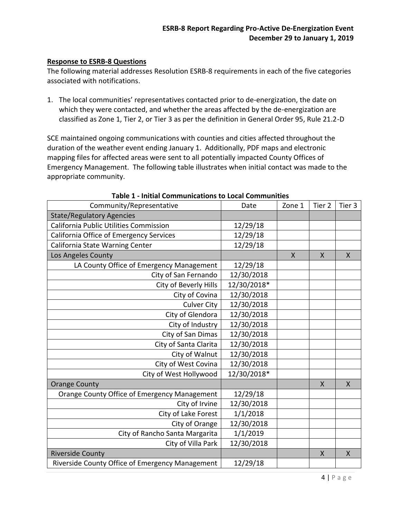#### **Response to ESRB-8 Questions**

The following material addresses Resolution ESRB-8 requirements in each of the five categories associated with notifications.

1. The local communities' representatives contacted prior to de-energization, the date on which they were contacted, and whether the areas affected by the de-energization are classified as Zone 1, Tier 2, or Tier 3 as per the definition in General Order 95, Rule 21.2-D

SCE maintained ongoing communications with counties and cities affected throughout the duration of the weather event ending January 1. Additionally, PDF maps and electronic mapping files for affected areas were sent to all potentially impacted County Offices of Emergency Management. The following table illustrates when initial contact was made to the appropriate community.

| Community/Representative                        | Date        | Zone 1       | Tier 2       | Tier 3       |
|-------------------------------------------------|-------------|--------------|--------------|--------------|
| <b>State/Regulatory Agencies</b>                |             |              |              |              |
| California Public Utilities Commission          | 12/29/18    |              |              |              |
| California Office of Emergency Services         | 12/29/18    |              |              |              |
| California State Warning Center                 | 12/29/18    |              |              |              |
| Los Angeles County                              |             | $\mathsf{X}$ | X            | $\mathsf{X}$ |
| LA County Office of Emergency Management        | 12/29/18    |              |              |              |
| City of San Fernando                            | 12/30/2018  |              |              |              |
| City of Beverly Hills                           | 12/30/2018* |              |              |              |
| City of Covina                                  | 12/30/2018  |              |              |              |
| <b>Culver City</b>                              | 12/30/2018  |              |              |              |
| City of Glendora                                | 12/30/2018  |              |              |              |
| City of Industry                                | 12/30/2018  |              |              |              |
| City of San Dimas                               | 12/30/2018  |              |              |              |
| City of Santa Clarita                           | 12/30/2018  |              |              |              |
| City of Walnut                                  | 12/30/2018  |              |              |              |
| City of West Covina                             | 12/30/2018  |              |              |              |
| City of West Hollywood                          | 12/30/2018* |              |              |              |
| <b>Orange County</b>                            |             |              | $\mathsf{X}$ | X            |
| Orange County Office of Emergency Management    | 12/29/18    |              |              |              |
| City of Irvine                                  | 12/30/2018  |              |              |              |
| City of Lake Forest                             | 1/1/2018    |              |              |              |
| City of Orange                                  | 12/30/2018  |              |              |              |
| City of Rancho Santa Margarita                  | 1/1/2019    |              |              |              |
| City of Villa Park                              | 12/30/2018  |              |              |              |
| <b>Riverside County</b>                         |             |              | X            | X            |
| Riverside County Office of Emergency Management | 12/29/18    |              |              |              |

**Table 1 - Initial Communications to Local Communities**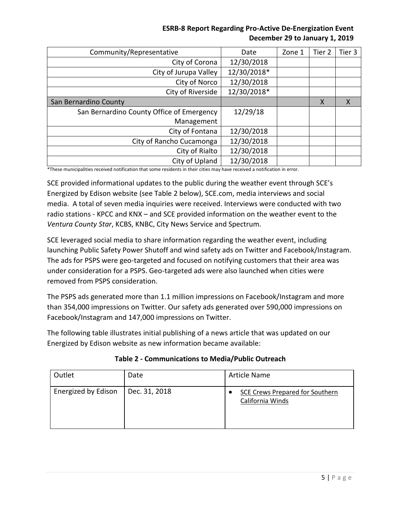# **ESRB-8 Report Regarding Pro-Active De-Energization Event December 29 to January 1, 2019**

| Community/Representative                  | Date        | Zone 1 | Tier <sub>2</sub> | Tier 3 |
|-------------------------------------------|-------------|--------|-------------------|--------|
| City of Corona                            | 12/30/2018  |        |                   |        |
| City of Jurupa Valley                     | 12/30/2018* |        |                   |        |
| City of Norco                             | 12/30/2018  |        |                   |        |
| City of Riverside                         | 12/30/2018* |        |                   |        |
| San Bernardino County                     |             |        | X                 | X      |
| San Bernardino County Office of Emergency | 12/29/18    |        |                   |        |
| Management                                |             |        |                   |        |
| City of Fontana                           | 12/30/2018  |        |                   |        |
| City of Rancho Cucamonga                  | 12/30/2018  |        |                   |        |
| City of Rialto                            | 12/30/2018  |        |                   |        |
| City of Upland                            | 12/30/2018  |        |                   |        |

\*These municipalities received notification that some residents in their cities may have received a notification in error.

SCE provided informational updates to the public during the weather event through SCE's Energized by Edison website (see Table 2 below), SCE.com, media interviews and social media. A total of seven media inquiries were received. Interviews were conducted with two radio stations - KPCC and KNX – and SCE provided information on the weather event to the *Ventura County Star*, KCBS, KNBC, City News Service and Spectrum.

SCE leveraged social media to share information regarding the weather event, including launching Public Safety Power Shutoff and wind safety ads on Twitter and Facebook/Instagram. The ads for PSPS were geo-targeted and focused on notifying customers that their area was under consideration for a PSPS. Geo-targeted ads were also launched when cities were removed from PSPS consideration.

The PSPS ads generated more than 1.1 million impressions on Facebook/Instagram and more than 354,000 impressions on Twitter. Our safety ads generated over 590,000 impressions on Facebook/Instagram and 147,000 impressions on Twitter.

The following table illustrates initial publishing of a news article that was updated on our Energized by Edison website as new information became available:

| Outlet              | Date          | Article Name                                        |  |
|---------------------|---------------|-----------------------------------------------------|--|
| Energized by Edison | Dec. 31, 2018 | SCE Crews Prepared for Southern<br>California Winds |  |

**Table 2 - Communications to Media/Public Outreach**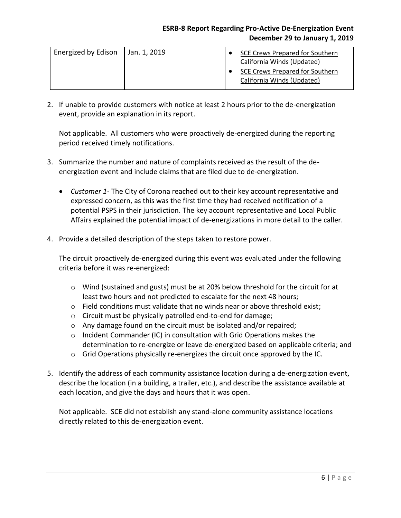## **ESRB-8 Report Regarding Pro-Active De-Energization Event December 29 to January 1, 2019**

| Energized by Edison | Jan. 1, 2019 | SCE Crews Prepared for Southern<br>California Winds (Updated) |
|---------------------|--------------|---------------------------------------------------------------|
|                     |              | SCE Crews Prepared for Southern<br>California Winds (Updated) |

2. If unable to provide customers with notice at least 2 hours prior to the de-energization event, provide an explanation in its report.

Not applicable. All customers who were proactively de-energized during the reporting period received timely notifications.

- 3. Summarize the number and nature of complaints received as the result of the deenergization event and include claims that are filed due to de-energization.
	- *Customer 1-* The City of Corona reached out to their key account representative and expressed concern, as this was the first time they had received notification of a potential PSPS in their jurisdiction. The key account representative and Local Public Affairs explained the potential impact of de-energizations in more detail to the caller.
- 4. Provide a detailed description of the steps taken to restore power.

The circuit proactively de-energized during this event was evaluated under the following criteria before it was re-energized:

- $\circ$  Wind (sustained and gusts) must be at 20% below threshold for the circuit for at least two hours and not predicted to escalate for the next 48 hours;
- $\circ$  Field conditions must validate that no winds near or above threshold exist;
- o Circuit must be physically patrolled end-to-end for damage;
- o Any damage found on the circuit must be isolated and/or repaired;
- o Incident Commander (IC) in consultation with Grid Operations makes the determination to re-energize or leave de-energized based on applicable criteria; and
- $\circ$  Grid Operations physically re-energizes the circuit once approved by the IC.
- 5. Identify the address of each community assistance location during a de-energization event, describe the location (in a building, a trailer, etc.), and describe the assistance available at each location, and give the days and hours that it was open.

Not applicable. SCE did not establish any stand-alone community assistance locations directly related to this de-energization event.